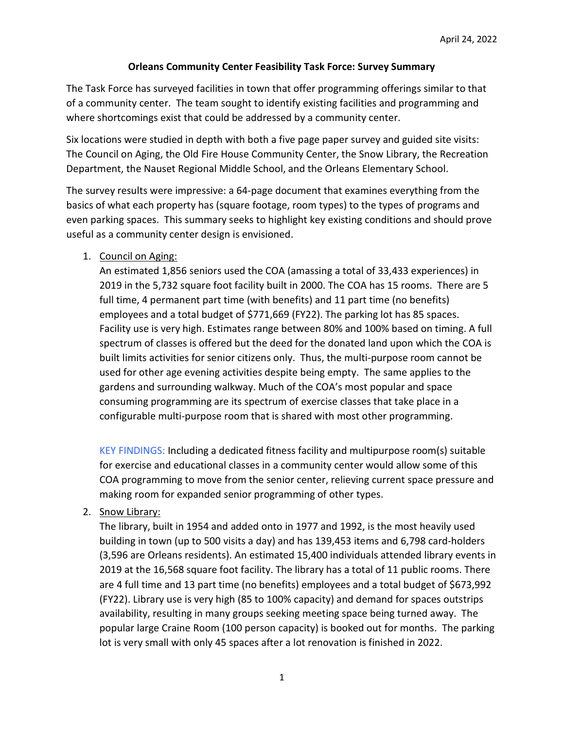# Orleans Community Center Feasibility Task Force: Survey Summary

The Task Force has surveyed facilities in town that offer programming offerings similar to that of a community center. The team sought to identify existing facilities and programming and where shortcomings exist that could be addressed by a community center.

Six locations were studied in depth with both a five page paper survey and guided site visits: The Council on Aging, the Old Fire House Community Center, the Snow Library, the Recreation Department, the Nauset Regional Middle School, and the Orleans Elementary School.

The survey results were impressive: a 64-page document that examines everything from the basics of what each property has (square footage, room types) to the types of programs and even parking spaces. This summary seeks to highlight key existing conditions and should prove useful as a community center design is envisioned.

# 1. Council on Aging:

An estimated 1,856 seniors used the COA (amassing a total of 33,433 experiences) in 2019 in the 5,732 square foot facility built in 2000. The COA has 15 rooms. There are 5 full time, 4 permanent part time (with benefits) and 11 part time (no benefits) employees and a total budget of \$771,669 (FY22). The parking lot has 85 spaces. Facility use is very high. Estimates range between 80% and 100% based on timing. A full spectrum of classes is offered but the deed for the donated land upon which the COA is built limits activities for senior citizens only. Thus, the multi-purpose room cannot be used for other age evening activities despite being empty. The same applies to the gardens and surrounding walkway. Much of the COA's most popular and space consuming programming are its spectrum of exercise classes that take place in a configurable multi-purpose room that is shared with most other programming.

KEY FINDINGS: Including a dedicated fitness facility and multipurpose room(s) suitable for exercise and educational classes in a community center would allow some of this COA programming to move from the senior center, relieving current space pressure and making room for expanded senior programming of other types.

# 2. Snow Library:

The library, built in 1954 and added onto in 1977 and 1992, is the most heavily used building in town (up to 500 visits a day) and has 139,453 items and 6,798 card-holders (3,596 are Orleans residents). An estimated 15,400 individuals attended library events in 2019 at the 16,568 square foot facility. The library has a total of 11 public rooms. There are 4 full time and 13 part time (no benefits) employees and a total budget of \$673,992 (FY22). Library use is very high (85 to 100% capacity) and demand for spaces outstrips availability, resulting in many groups seeking meeting space being turned away. The popular large Craine Room (100 person capacity) is booked out for months. The parking lot is very small with only 45 spaces after a lot renovation is finished in 2022.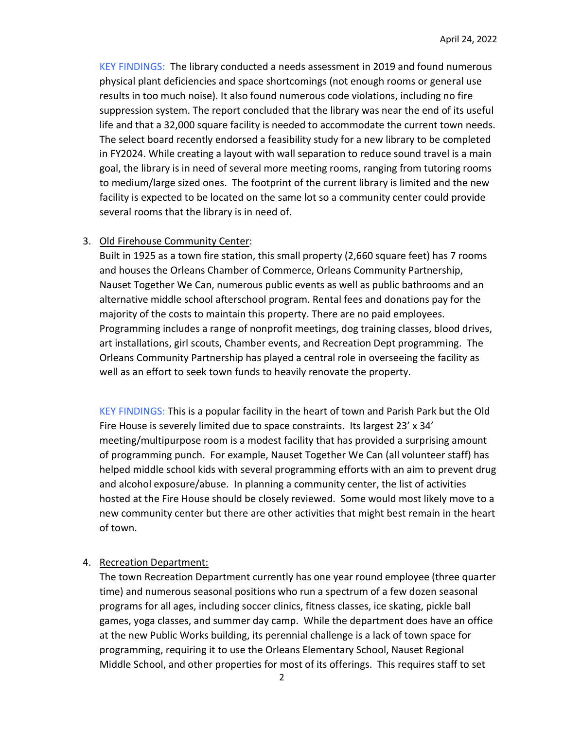KEY FINDINGS: The library conducted a needs assessment in 2019 and found numerous physical plant deficiencies and space shortcomings (not enough rooms or general use results in too much noise). It also found numerous code violations, including no fire suppression system. The report concluded that the library was near the end of its useful life and that a 32,000 square facility is needed to accommodate the current town needs. The select board recently endorsed a feasibility study for a new library to be completed in FY2024. While creating a layout with wall separation to reduce sound travel is a main goal, the library is in need of several more meeting rooms, ranging from tutoring rooms to medium/large sized ones. The footprint of the current library is limited and the new facility is expected to be located on the same lot so a community center could provide several rooms that the library is in need of.

#### 3. Old Firehouse Community Center:

Built in 1925 as a town fire station, this small property (2,660 square feet) has 7 rooms and houses the Orleans Chamber of Commerce, Orleans Community Partnership, Nauset Together We Can, numerous public events as well as public bathrooms and an alternative middle school afterschool program. Rental fees and donations pay for the majority of the costs to maintain this property. There are no paid employees. Programming includes a range of nonprofit meetings, dog training classes, blood drives, art installations, girl scouts, Chamber events, and Recreation Dept programming. The Orleans Community Partnership has played a central role in overseeing the facility as well as an effort to seek town funds to heavily renovate the property.

KEY FINDINGS: This is a popular facility in the heart of town and Parish Park but the Old Fire House is severely limited due to space constraints. Its largest 23' x 34' meeting/multipurpose room is a modest facility that has provided a surprising amount of programming punch. For example, Nauset Together We Can (all volunteer staff) has helped middle school kids with several programming efforts with an aim to prevent drug and alcohol exposure/abuse. In planning a community center, the list of activities hosted at the Fire House should be closely reviewed. Some would most likely move to a new community center but there are other activities that might best remain in the heart of town.

#### 4. Recreation Department:

The town Recreation Department currently has one year round employee (three quarter time) and numerous seasonal positions who run a spectrum of a few dozen seasonal programs for all ages, including soccer clinics, fitness classes, ice skating, pickle ball games, yoga classes, and summer day camp. While the department does have an office at the new Public Works building, its perennial challenge is a lack of town space for programming, requiring it to use the Orleans Elementary School, Nauset Regional Middle School, and other properties for most of its offerings. This requires staff to set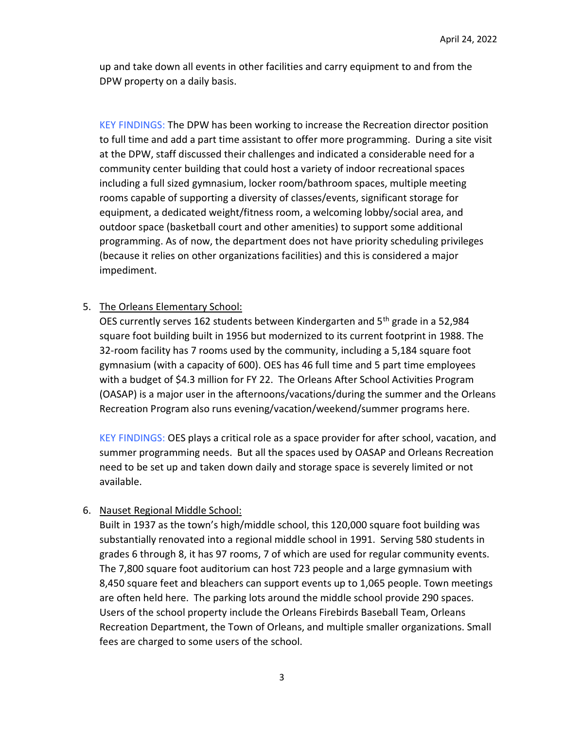up and take down all events in other facilities and carry equipment to and from the DPW property on a daily basis.

KEY FINDINGS: The DPW has been working to increase the Recreation director position to full time and add a part time assistant to offer more programming. During a site visit at the DPW, staff discussed their challenges and indicated a considerable need for a community center building that could host a variety of indoor recreational spaces including a full sized gymnasium, locker room/bathroom spaces, multiple meeting rooms capable of supporting a diversity of classes/events, significant storage for equipment, a dedicated weight/fitness room, a welcoming lobby/social area, and outdoor space (basketball court and other amenities) to support some additional programming. As of now, the department does not have priority scheduling privileges (because it relies on other organizations facilities) and this is considered a major impediment.

# 5. The Orleans Elementary School:

OES currently serves 162 students between Kindergarten and 5<sup>th</sup> grade in a 52,984 square foot building built in 1956 but modernized to its current footprint in 1988. The 32-room facility has 7 rooms used by the community, including a 5,184 square foot gymnasium (with a capacity of 600). OES has 46 full time and 5 part time employees with a budget of \$4.3 million for FY 22. The Orleans After School Activities Program (OASAP) is a major user in the afternoons/vacations/during the summer and the Orleans Recreation Program also runs evening/vacation/weekend/summer programs here.

KEY FINDINGS: OES plays a critical role as a space provider for after school, vacation, and summer programming needs. But all the spaces used by OASAP and Orleans Recreation need to be set up and taken down daily and storage space is severely limited or not available.

### 6. Nauset Regional Middle School:

Built in 1937 as the town's high/middle school, this 120,000 square foot building was substantially renovated into a regional middle school in 1991. Serving 580 students in grades 6 through 8, it has 97 rooms, 7 of which are used for regular community events. The 7,800 square foot auditorium can host 723 people and a large gymnasium with 8,450 square feet and bleachers can support events up to 1,065 people. Town meetings are often held here. The parking lots around the middle school provide 290 spaces. Users of the school property include the Orleans Firebirds Baseball Team, Orleans Recreation Department, the Town of Orleans, and multiple smaller organizations. Small fees are charged to some users of the school.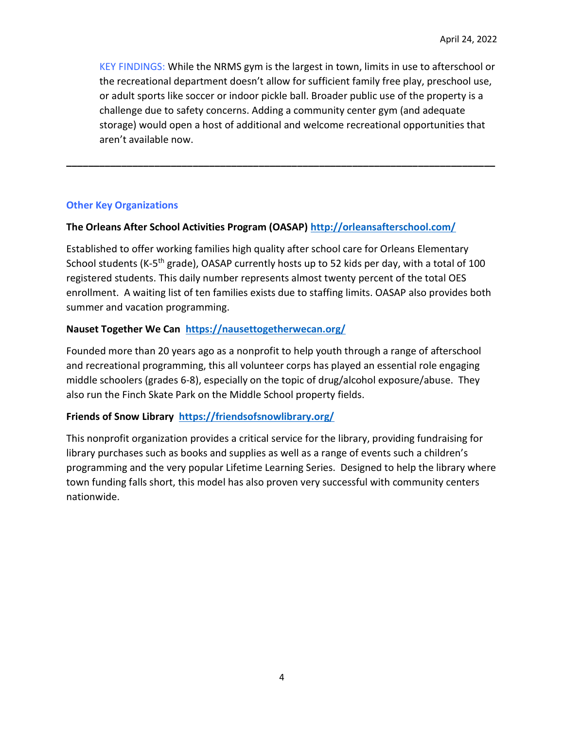KEY FINDINGS: While the NRMS gym is the largest in town, limits in use to afterschool or the recreational department doesn't allow for sufficient family free play, preschool use, or adult sports like soccer or indoor pickle ball. Broader public use of the property is a challenge due to safety concerns. Adding a community center gym (and adequate storage) would open a host of additional and welcome recreational opportunities that aren't available now.

## Other Key Organizations

## The Orleans After School Activities Program (OASAP) http://orleansafterschool.com/

Established to offer working families high quality after school care for Orleans Elementary School students (K-5<sup>th</sup> grade), OASAP currently hosts up to 52 kids per day, with a total of 100 registered students. This daily number represents almost twenty percent of the total OES enrollment. A waiting list of ten families exists due to staffing limits. OASAP also provides both summer and vacation programming.

\_\_\_\_\_\_\_\_\_\_\_\_\_\_\_\_\_\_\_\_\_\_\_\_\_\_\_\_\_\_\_\_\_\_\_\_\_\_\_\_\_\_\_\_\_\_\_\_\_\_\_\_\_\_\_\_\_\_\_\_\_\_\_\_\_\_\_\_\_\_\_\_\_\_\_\_\_\_

## Nauset Together We Can https://nausettogetherwecan.org/

Founded more than 20 years ago as a nonprofit to help youth through a range of afterschool and recreational programming, this all volunteer corps has played an essential role engaging middle schoolers (grades 6-8), especially on the topic of drug/alcohol exposure/abuse. They also run the Finch Skate Park on the Middle School property fields.

### Friends of Snow Library https://friendsofsnowlibrary.org/

This nonprofit organization provides a critical service for the library, providing fundraising for library purchases such as books and supplies as well as a range of events such a children's programming and the very popular Lifetime Learning Series. Designed to help the library where town funding falls short, this model has also proven very successful with community centers nationwide.